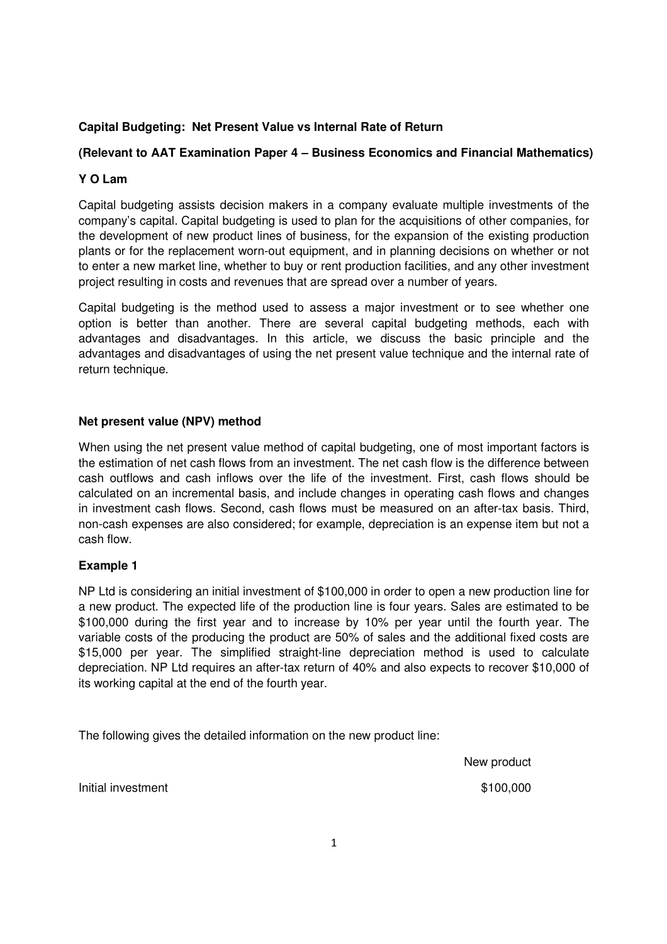# **Capital Budgeting: Net Present Value vs Internal Rate of Return**

# **(Relevant to AAT Examination Paper 4 – Business Economics and Financial Mathematics)**

## **Y O Lam**

Capital budgeting assists decision makers in a company evaluate multiple investments of the company's capital. Capital budgeting is used to plan for the acquisitions of other companies, for the development of new product lines of business, for the expansion of the existing production plants or for the replacement worn-out equipment, and in planning decisions on whether or not to enter a new market line, whether to buy or rent production facilities, and any other investment project resulting in costs and revenues that are spread over a number of years.

Capital budgeting is the method used to assess a major investment or to see whether one option is better than another. There are several capital budgeting methods, each with advantages and disadvantages. In this article, we discuss the basic principle and the advantages and disadvantages of using the net present value technique and the internal rate of return technique.

## **Net present value (NPV) method**

When using the net present value method of capital budgeting, one of most important factors is the estimation of net cash flows from an investment. The net cash flow is the difference between cash outflows and cash inflows over the life of the investment. First, cash flows should be calculated on an incremental basis, and include changes in operating cash flows and changes in investment cash flows. Second, cash flows must be measured on an after-tax basis. Third, non-cash expenses are also considered; for example, depreciation is an expense item but not a cash flow.

## **Example 1**

NP Ltd is considering an initial investment of \$100,000 in order to open a new production line for a new product. The expected life of the production line is four years. Sales are estimated to be \$100,000 during the first year and to increase by 10% per year until the fourth year. The variable costs of the producing the product are 50% of sales and the additional fixed costs are \$15,000 per year. The simplified straight-line depreciation method is used to calculate depreciation. NP Ltd requires an after-tax return of 40% and also expects to recover \$10,000 of its working capital at the end of the fourth year.

The following gives the detailed information on the new product line:

New product

Initial investment  $$100,000$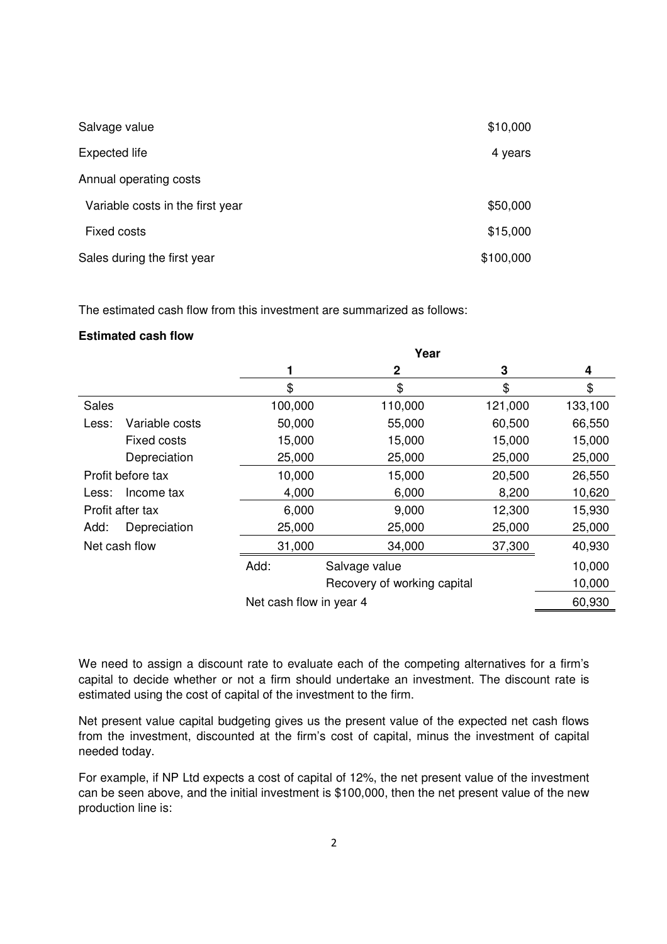| Salvage value                    | \$10,000  |
|----------------------------------|-----------|
| Expected life                    | 4 years   |
| Annual operating costs           |           |
| Variable costs in the first year | \$50,000  |
| Fixed costs                      | \$15,000  |
| Sales during the first year      | \$100,000 |

The estimated cash flow from this investment are summarized as follows:

#### **Estimated cash flow**

|                         | Year    |                             |         |         |
|-------------------------|---------|-----------------------------|---------|---------|
|                         |         | 2                           | 3       | 4       |
|                         | \$      | \$                          | \$      | \$      |
| <b>Sales</b>            | 100,000 | 110,000                     | 121,000 | 133,100 |
| Variable costs<br>Less: | 50,000  | 55,000                      | 60,500  | 66,550  |
| <b>Fixed costs</b>      | 15,000  | 15,000                      | 15,000  | 15,000  |
| Depreciation            | 25,000  | 25,000                      | 25,000  | 25,000  |
| Profit before tax       | 10,000  | 15,000                      |         | 26,550  |
| Income tax<br>Less:     | 4,000   | 6,000                       | 8,200   | 10,620  |
| Profit after tax        | 6,000   | 9,000                       | 12,300  | 15,930  |
| Add:<br>Depreciation    | 25,000  | 25,000                      | 25,000  | 25,000  |
| Net cash flow           | 31,000  | 34,000                      | 37,300  | 40,930  |
|                         | Add:    | Salvage value               |         | 10,000  |
|                         |         | Recovery of working capital |         | 10,000  |
| Net cash flow in year 4 |         |                             | 60,930  |         |

We need to assign a discount rate to evaluate each of the competing alternatives for a firm's capital to decide whether or not a firm should undertake an investment. The discount rate is estimated using the cost of capital of the investment to the firm.

Net present value capital budgeting gives us the present value of the expected net cash flows from the investment, discounted at the firm's cost of capital, minus the investment of capital needed today.

For example, if NP Ltd expects a cost of capital of 12%, the net present value of the investment can be seen above, and the initial investment is \$100,000, then the net present value of the new production line is: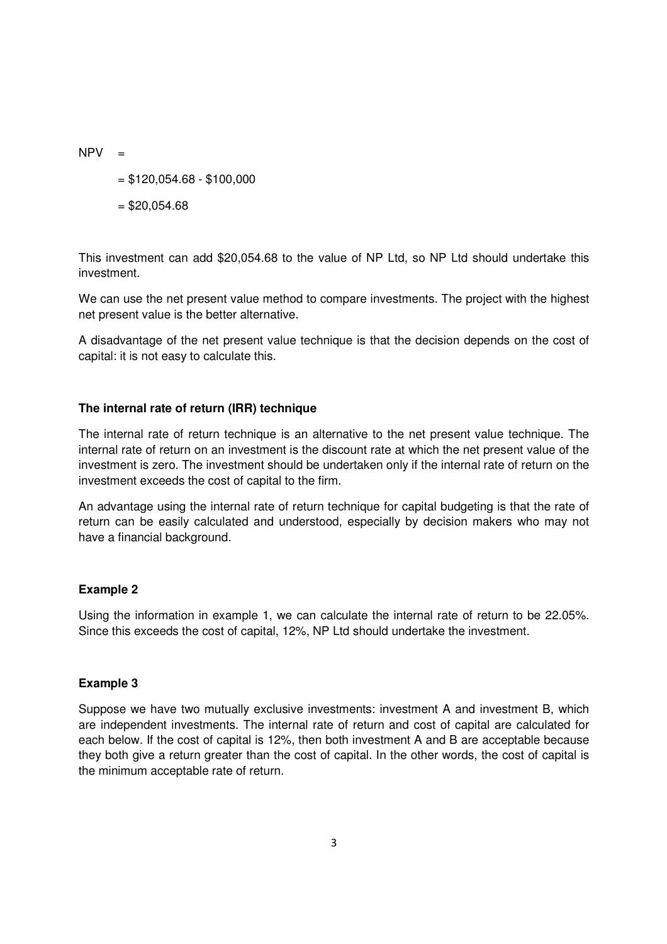$NPV =$ 

- $= $120,054.68 $100,000$
- $=$  \$20.054.68

This investment can add \$20,054.68 to the value of NP Ltd, so NP Ltd should undertake this investment.

We can use the net present value method to compare investments. The project with the highest net present value is the better alternative.

A disadvantage of the net present value technique is that the decision depends on the cost of capital: it is not easy to calculate this.

### **The internal rate of return (IRR) technique**

The internal rate of return technique is an alternative to the net present value technique. The internal rate of return on an investment is the discount rate at which the net present value of the investment is zero. The investment should be undertaken only if the internal rate of return on the investment exceeds the cost of capital to the firm.

An advantage using the internal rate of return technique for capital budgeting is that the rate of return can be easily calculated and understood, especially by decision makers who may not have a financial background.

#### **Example 2**

Using the information in example 1, we can calculate the internal rate of return to be 22.05%. Since this exceeds the cost of capital, 12%, NP Ltd should undertake the investment.

#### **Example 3**

Suppose we have two mutually exclusive investments: investment A and investment B, which are independent investments. The internal rate of return and cost of capital are calculated for each below. If the cost of capital is 12%, then both investment A and B are acceptable because they both give a return greater than the cost of capital. In the other words, the cost of capital is the minimum acceptable rate of return.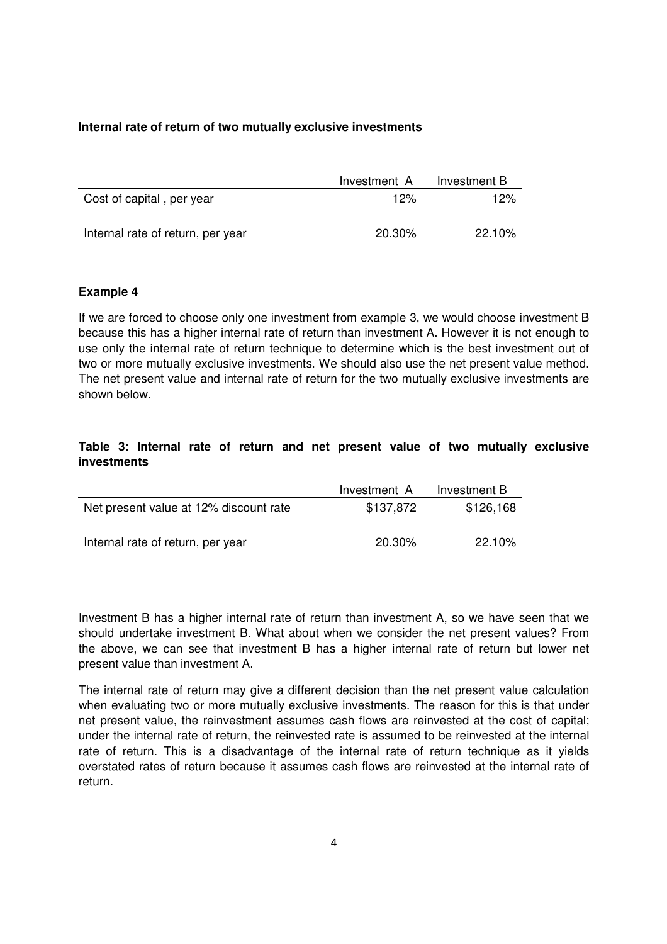### **Internal rate of return of two mutually exclusive investments**

|                                   | Investment A | Investment B |
|-----------------------------------|--------------|--------------|
| Cost of capital, per year         | 12%          | 12%          |
| Internal rate of return, per year | 20.30%       | 22.10%       |

#### **Example 4**

If we are forced to choose only one investment from example 3, we would choose investment B because this has a higher internal rate of return than investment A. However it is not enough to use only the internal rate of return technique to determine which is the best investment out of two or more mutually exclusive investments. We should also use the net present value method. The net present value and internal rate of return for the two mutually exclusive investments are shown below.

## **Table 3: Internal rate of return and net present value of two mutually exclusive investments**

|                                        | Investment A | Investment B |
|----------------------------------------|--------------|--------------|
| Net present value at 12% discount rate | \$137,872    | \$126,168    |
| Internal rate of return, per year      | $20.30\%$    | $22.10\%$    |

Investment B has a higher internal rate of return than investment A, so we have seen that we should undertake investment B. What about when we consider the net present values? From the above, we can see that investment B has a higher internal rate of return but lower net present value than investment A.

The internal rate of return may give a different decision than the net present value calculation when evaluating two or more mutually exclusive investments. The reason for this is that under net present value, the reinvestment assumes cash flows are reinvested at the cost of capital; under the internal rate of return, the reinvested rate is assumed to be reinvested at the internal rate of return. This is a disadvantage of the internal rate of return technique as it yields overstated rates of return because it assumes cash flows are reinvested at the internal rate of return.